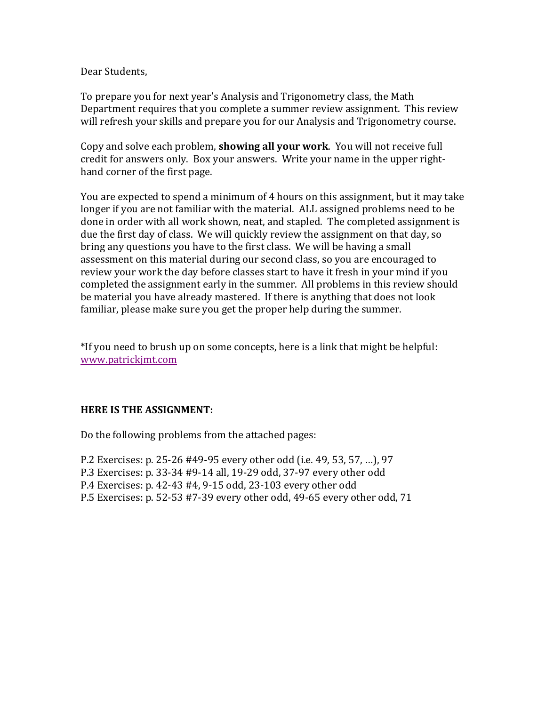## Dear Students,

To prepare you for next year's Analysis and Trigonometry class, the Math Department requires that you complete a summer review assignment. This review will refresh your skills and prepare you for our Analysis and Trigonometry course.

Copy and solve each problem, **showing all your work**. You will not receive full credit for answers only. Box your answers. Write your name in the upper righthand corner of the first page.

You are expected to spend a minimum of  $4$  hours on this assignment, but it may take longer if you are not familiar with the material. ALL assigned problems need to be done in order with all work shown, neat, and stapled. The completed assignment is due the first day of class. We will quickly review the assignment on that day, so bring any questions you have to the first class. We will be having a small assessment on this material during our second class, so you are encouraged to review your work the day before classes start to have it fresh in your mind if you completed the assignment early in the summer. All problems in this review should be material you have already mastered. If there is anything that does not look familiar, please make sure you get the proper help during the summer.

\*If you need to brush up on some concepts, here is a link that might be helpful: www.patrickjmt.com

# **HERE IS THE ASSIGNMENT:**

Do the following problems from the attached pages:

P.2 Exercises: p. 25-26 #49-95 every other odd (i.e. 49, 53, 57, ...), 97

P.3 Exercises: p. 33-34 #9-14 all, 19-29 odd, 37-97 every other odd

P.4 Exercises: p. 42-43 #4, 9-15 odd, 23-103 every other odd

P.5 Exercises: p. 52-53 #7-39 every other odd, 49-65 every other odd, 71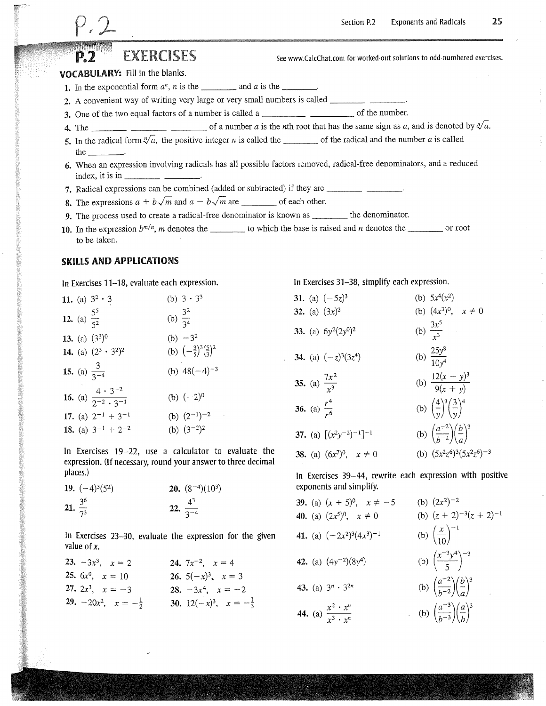# **EXERCISES**

See www.CalcChat.com for worked-out solutions to odd-numbered exercises.

#### **VOCABULARY: Fill in the blanks.**

- 1. In the exponential form  $a^n$ , *n* is the \_\_\_\_\_\_\_\_\_\_ and *a* is the \_\_\_\_\_\_\_.
- 2. A convenient way of writing very large or very small numbers is called \_\_\_\_\_\_\_\_\_\_\_\_\_\_\_\_\_\_\_\_\_\_.
- 
- 
- 5. In the radical form  $\sqrt[n]{a}$ , the positive integer *n* is called the \_\_\_\_\_\_\_\_ of the radical and the number *a* is called the  $\qquad$
- 6. When an expression involving radicals has all possible factors removed, radical-free denominators, and a reduced index, it is in
- 7. Radical expressions can be combined (added or subtracted) if they are \_\_\_\_\_\_\_\_
- 8. The expressions  $a + b\sqrt{m}$  and  $a b\sqrt{m}$  are \_\_\_\_\_\_\_\_\_\_ of each other.
- 9. The process used to create a radical-free denominator is known as \_\_\_\_\_\_\_\_\_ the denominator.
- 10. In the expression  $b^{m/n}$ , *m* denotes the the to which the base is raised and *n* denotes the <u>same</u> or root to be taken.

#### **SKILLS AND APPLICATIONS**

In Exercises 11–18, evaluate each expression.

|                           | 11. (a) $3^2 \cdot 3$                                |                       | (b) $3 \cdot 3^3$                                            |
|---------------------------|------------------------------------------------------|-----------------------|--------------------------------------------------------------|
| 12. (a) $\frac{5^5}{5^2}$ |                                                      | (b) $\frac{3^2}{3^4}$ |                                                              |
|                           | 13. (a) $(3^3)^0$                                    |                       | (b) $-3^2$                                                   |
|                           | 14. (a) $(2^3 \cdot 3^2)^2$                          |                       | (b) $\left(-\frac{3}{5}\right)^3 \left(\frac{5}{3}\right)^2$ |
|                           | 15. (a) $\frac{3}{3^{-4}}$                           |                       | (b) $48(-4)^{-3}$                                            |
|                           | 16. (a) $\frac{4 \cdot 3^{-2}}{2^{-2} \cdot 3^{-1}}$ |                       | (b) $(-2)^0$                                                 |
|                           | 17. (a) $2^{-1} + 3^{-1}$                            |                       | (b) $(2^{-1})^{-2}$<br>$\sim$ $\sim$                         |
|                           | 18. (a) $3^{-1} + 2^{-2}$                            |                       | (b) $(3^{-2})^2$                                             |

In Exercises 19-22, use a calculator to evaluate the expression. (If necessary, round your answer to three decimal places.)

|                     | 19. $(-4)^3(5^2)$ | <b>20.</b> $(8^{-4})(10^3)$ |
|---------------------|-------------------|-----------------------------|
| 21. $rac{3^6}{7^3}$ |                   | 22. $\frac{4^3}{3^{-4}}$    |

In Exercises 23–30, evaluate the expression for the given value of  $x$ .

| 23. $-3x^3$ , $x = 2$                  | <b>24.</b> $7x^{-2}$ , $x = 4$              |
|----------------------------------------|---------------------------------------------|
| <b>25.</b> $6x^0$ , $x = 10$           | 26. $5(-x)^3$ , $x = 3$                     |
| 27. $2x^3$ , $x = -3$                  | 28. $-3x^4$ , $x = -2$                      |
| <b>29.</b> $-20x^2$ , $x=-\frac{1}{2}$ | <b>30.</b> 12 $(-x)^3$ , $x = -\frac{1}{3}$ |

In Exercises 31-38, simplify each expression.

| 31. (a) $(-5z)^3$                              | (b) $5x^4(x^2)$                                                    |
|------------------------------------------------|--------------------------------------------------------------------|
| 32. (a) $(3x)^2$                               | (b) $(4x^3)^0$ , $x \neq 0$                                        |
| 33. (a) $6y^2(2y^0)^2$                         | (b) $\frac{3x^5}{r^3}$                                             |
| 34. (a) $(-z)^3(3z^4)$                         | (b) $\frac{25y^8}{10y^4}$                                          |
| 35. (a) $\frac{7x^2}{x^3}$                     | (b) $\frac{12(x+y)^3}{9(x+y)}$                                     |
| <b>36.</b> (a) $\frac{r^4}{r^6}$               | (b) $\left(\frac{4}{v}\right)^3 \left(\frac{3}{v}\right)^4$        |
| 37. (a) $\left[ (x^2y^{-2})^{-1} \right]^{-1}$ | (b) $\left(\frac{a^{-2}}{b^{-2}}\right)\left(\frac{b}{a}\right)^3$ |
| <b>38.</b> (a) $(6x^7)^0$ , $x \neq 0$         | (b) $(5x^2z^6)^3(5x^2z^6)^{-3}$                                    |

In Exercises 39-44, rewrite each expression with positive exponents and simplify.

**39.** (a)  $(x + 5)^0$ ,  $x \neq -5$ (b)  $(2x^2)^{-2}$ **40.** (a)  $(2x^5)^0$ ,  $x \neq 0$ (b)  $(z + 2)^{-3}(z + 2)^{-1}$ (b)  $\left(\frac{x}{10}\right)^{-1}$ 41. (a)  $(-2x^2)^3(4x^3)^{-1}$ (b)  $\left(\frac{x^{-3}y^4}{5}\right)^{-3}$ **42.** (a)  $(4y^{-2})(8y^4)$ (b)  $\left(\frac{a^{-2}}{b^{-2}}\right)\left(\frac{b}{a}\right)^3$ 43. (a)  $3^n \cdot 3^{2n}$ (b)  $\left(\frac{a^{-3}}{b^{-3}}\right)\left(\frac{a}{b}\right)^3$ 44. (a)  $\frac{x^2 \cdot x^n}{x^3 \cdot x^n}$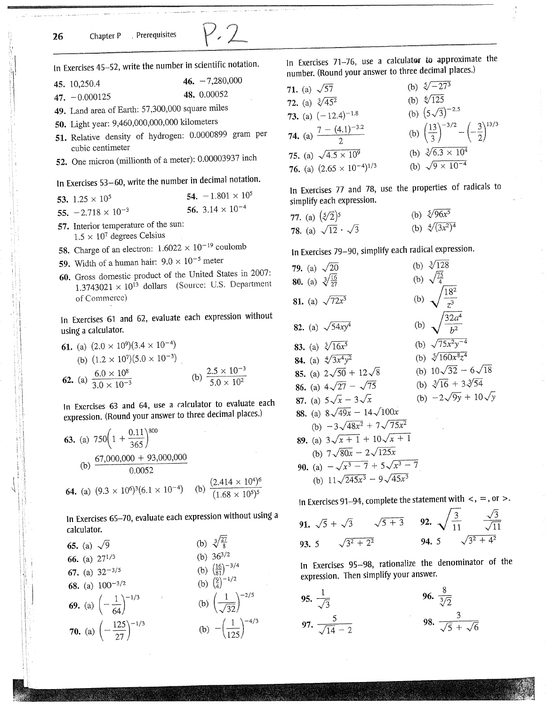

In Exercises 45-52, write the number in scientific notation.

|  | 45. 10,250.4 | 46. $-7,280,000$ |
|--|--------------|------------------|
|--|--------------|------------------|

48. 0.00052 47.  $-0.000125$ 

49. Land area of Earth: 57,300,000 square miles

50. Light year: 9,460,000,000,000 kilometers

- 51. Relative density of hydrogen: 0.0000899 gram per cubic centimeter
- 52. One micron (millionth of a meter): 0.00003937 inch

In Exercises 53-60, write the number in decimal notation.

| 53. $1.25 \times 10^5$      | 54. $-1.801 \times 10^5$           |
|-----------------------------|------------------------------------|
| 55. $-2.718 \times 10^{-3}$ | 56. 3.14 $\times$ 10 <sup>-4</sup> |

- 57. Interior temperature of the sun:  $1.5 \times 10^7$  degrees Celsius
- **58.** Charge of an electron:  $1.6022 \times 10^{-19}$  coulomb
- 59. Width of a human hair:  $9.0 \times 10^{-5}$  meter
- 60. Gross domestic product of the United States in 2007:  $1.3743021 \times 10^{13}$  dollars (Source: U.S. Department of Commerce)

In Exercises 61 and 62, evaluate each expression without using a calculator.

61. (a) 
$$
(2.0 \times 10^9)(3.4 \times 10^{-4})
$$
  
\n(b)  $(1.2 \times 10^7)(5.0 \times 10^{-3})$   
\n62. (a)  $\frac{6.0 \times 10^8}{3.0 \times 10^{-3}}$  (b)  $\frac{2.5 \times 10^{-3}}{5.0 \times 10^2}$ 

In Exercises 63 and 64, use a calculator to evaluate each expression. (Round your answer to three decimal places.)

**63.** (a) 
$$
750\left(1 + \frac{0.11}{365}\right)^{800}
$$
  
(b)  $\frac{67,000,000 + 93,000,000}{0.0052}$   
**64.** (a)  $(9.3 \times 10^6)^3(6.1 \times 10^{-4})$  (b)  $\frac{(2.414 \times 10^4)^6}{(1.68 \times 10^5)^5}$ 

In Exercises 65-70, evaluate each expression without using a calculator.



In Exercises 71-76, use a calculator to approximate the number. (Round your answer to three decimal places.)

| 71. (a) $\sqrt{57}$                       | (b) $\sqrt[5]{-27^3}$                                                     |
|-------------------------------------------|---------------------------------------------------------------------------|
| <b>72.</b> (a) $\sqrt[3]{45^2}$           | (b) $\sqrt[6]{125}$                                                       |
| 73. (a) $(-12.4)^{-1.8}$                  | (b) $(5\sqrt{3})^{-2.5}$                                                  |
| <b>74.</b> (a) $\frac{7-(4.1)^{-3.2}}{2}$ | (b) $\left(\frac{13}{3}\right)^{-3/2} - \left(-\frac{3}{2}\right)^{13/3}$ |
| 75. (a) $\sqrt{4.5 \times 10^9}$          | (b) $\sqrt[3]{6.3 \times 10^4}$                                           |
| 76. (a) $(2.65 \times 10^{-4})^{1/3}$     | (b) $\sqrt{9 \times 10^{-4}}$                                             |

In Exercises 77 and 78, use the properties of radicals to simplify each expression.

|  | 77. (a) $(\sqrt[5]{2})^5$          | (b) $\sqrt[5]{96x^5}$    |
|--|------------------------------------|--------------------------|
|  | 78. (a) $\sqrt{12} \cdot \sqrt{3}$ | (b) $\sqrt[4]{(3x^2)^4}$ |

In Exercises 79-90, simplify each radical expression.

| <b>79.</b> (a) $\sqrt{20}$               | (b) $\sqrt[3]{128}$                |
|------------------------------------------|------------------------------------|
| <b>80.</b> (a) $\sqrt[3]{\frac{16}{27}}$ | (b) $\sqrt{\frac{75}{4}}$          |
| <b>81.</b> (a) $\sqrt{72x^3}$            | (b) $\sqrt{\frac{18^2}{z^3}}$      |
| <b>82.</b> (a) $\sqrt{54xy^4}$           | (b) $\sqrt{\frac{32a^4}{h^2}}$     |
| <b>83.</b> (a) $\sqrt[3]{16x^5}$         | (b) $\sqrt{75x^2y^{-4}}$           |
| <b>84.</b> (a) $\sqrt[4]{3x^4y^2}$       | (b) $\sqrt[5]{160x^8z^4}$          |
| 85. (a) $2\sqrt{50} + 12\sqrt{8}$        | (b) $10\sqrt{32} - 6\sqrt{18}$     |
| 86. (a) $4\sqrt{27} - \sqrt{75}$         | (b) $\sqrt[3]{16} + 3\sqrt[3]{54}$ |
| 87. (a) $5\sqrt{x} - 3\sqrt{x}$          | (b) $-2\sqrt{9y} + 10\sqrt{y}$     |
| 88. (a) $8\sqrt{49x} - 14\sqrt{100x}$    |                                    |
| (b) $-3\sqrt{48x^2} + 7\sqrt{75x^2}$     |                                    |
| 89. (a) $3\sqrt{x+1} + 10\sqrt{x+1}$     |                                    |
| (b) $7\sqrt{80x} - 2\sqrt{125x}$         |                                    |
| 90. (a) $-\sqrt{x^3-7}+5\sqrt{x^3-7}$    |                                    |
| (b) $11\sqrt{245x^3} - 9\sqrt{45x^3}$    |                                    |

In Exercises 91-94, complete the statement with  $\lt$ , =, or >.

91. 
$$
\sqrt{5} + \sqrt{3}
$$
  $\sqrt{5 + 3}$  92.  $\sqrt{\frac{3}{11}} \frac{\sqrt{3}}{\sqrt{11}}$   
93. 5  $\sqrt{3^2 + 2^2}$  94. 5  $\sqrt{3^2 + 4^2}$ 

In Exercises 95-98, rationalize the denominator of the expression. Then simplify your answer.

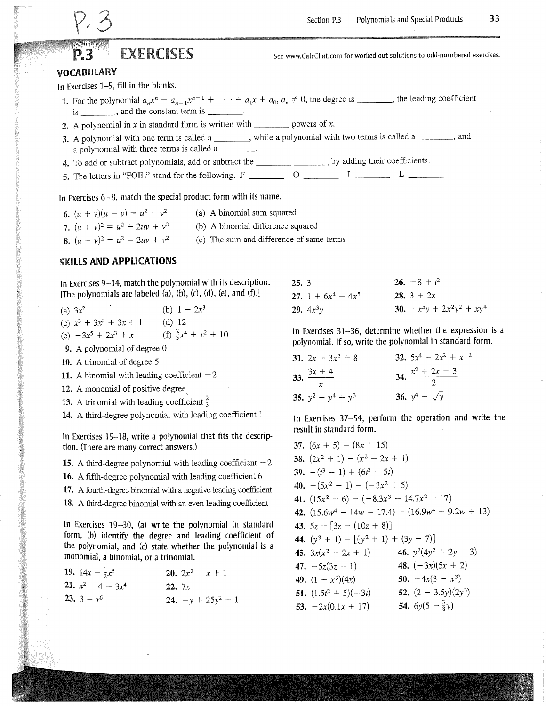# **EXERCISES**

See www.CalcChat.com for worked-out solutions to odd-numbered exercises.

#### **VOCABULARY**

In Exercises 1–5, fill in the blanks.

- 1. For the polynomial  $a_n x^n + a_{n-1} x^{n-1} + \cdots + a_1 x + a_0$ ,  $a_n \neq 0$ , the degree is \_\_\_\_\_\_, the leading coefficient is \_\_\_\_\_\_\_\_, and the constant term is \_\_\_\_\_\_\_\_.
- 2. A polynomial in x in standard form is written with \_\_\_\_\_\_\_\_\_\_\_ powers of x.
- 3. A polynomial with one term is called a \_\_\_\_\_\_\_\_, while a polynomial with two terms is called a \_\_\_\_\_\_\_, and a polynomial with three terms is called a
- 
- 

In Exercises  $6-8$ , match the special product form with its name.

6.  $(u + v)(u - v) = u^2 - v^2$ (a) A binomial sum squared 7.  $(u + v)^2 = u^2 + 2uv + v^2$ (b) A binomial difference squared 8.  $(u - v)^2 = u^2 - 2uv + v^2$ (c) The sum and difference of same terms

#### **SKILLS AND APPLICATIONS**

In Exercises 9–14, match the polynomial with its description. [The polynomials are labeled  $(a)$ ,  $(b)$ ,  $(c)$ ,  $(d)$ ,  $(e)$ , and  $(f)$ .]

(b)  $1 - 2x^3$ (a)  $3x^2$ (c)  $x^3 + 3x^2 + 3x + 1$ (d)  $12$ (f)  $\frac{2}{3}x^4 + x^2 + 10$ (e)  $-3x^5 + 2x^3 + x$ 

- 9. A polynomial of degree 0
- 10. A trinomial of degree 5

11. A binomial with leading coefficient  $-2$ 

12. A monomial of positive degree

13. A trinomial with leading coefficient  $\frac{2}{3}$ 

14. A third-degree polynomial with leading coefficient 1

In Exercises 15-18, write a polynomial that fits the description. (There are many correct answers.)

15. A third-degree polynomial with leading coefficient  $-2$ 

16. A fifth-degree polynomial with leading coefficient 6

17. A fourth-degree binomial with a negative leading coefficient

18. A third-degree binomial with an even leading coefficient

In Exercises 19-30, (a) write the polynomial in standard form, (b) identify the degree and leading coefficient of the polynomial, and (c) state whether the polynomial is a monomial, a binomial, or a trinomial.

| 19. $14x - \frac{1}{2}x^5$  |       | 20. $2x^2 - x + 1$   |
|-----------------------------|-------|----------------------|
| <b>21.</b> $x^2 - 4 - 3x^4$ | 22.7x |                      |
| 23. $3 - x^6$               |       | 24. $-y + 25y^2 + 1$ |

| 25.3 |                         | 26. $-8 + t^2$               |
|------|-------------------------|------------------------------|
|      | 27. 1 + $6x^4$ – $4x^5$ | 28. $3 + 2x$                 |
|      | <b>29.</b> $4x^3y$      | 30. $-x^5y + 2x^2y^2 + xy^4$ |

In Exercises 31-36, determine whether the expression is a polynomial. If so, write the polynomial in standard form.

| 31. $2x - 3x^3 + 8$   | 32. $5x^4 - 2x^2 + x^{-2}$ |
|-----------------------|----------------------------|
| 33. $\frac{3x+4}{x}$  | 34. $\frac{x^2+2x-3}{2}$   |
| 35. $y^2 - y^4 + y^3$ | 36. $y^4 - \sqrt{y}$       |

In Exercises 37–54, perform the operation and write the result in standard form.

37.  $(6x + 5) - (8x + 15)$ 38.  $(2x^2 + 1) - (x^2 - 2x + 1)$ 39.  $-(t^3 - 1) + (6t^3 - 5t)$ 40.  $-(5x^2 - 1) - (-3x^2 + 5)$ 41.  $(15x^2 - 6) - (-8.3x^3 - 14.7x^2 - 17)$ 42.  $(15.6w^4 - 14w - 17.4) - (16.9w^4 - 9.2w + 13)$ 43.  $5z - [3z - (10z + 8)]$ 44.  $(y^3 + 1) - [(y^2 + 1) + (3y - 7)]$ 45.  $3x(x^2 - 2x + 1)$  46.  $y^2(4y^2 + 2y - 3)$ 48.  $(-3x)(5x + 2)$ 47.  $-5z(3z-1)$ 50.  $-4x(3 - x^3)$ 49.  $(1 - x^3)(4x)$ 52.  $(2 - 3.5y)(2y^3)$ 51.  $(1.5t^2 + 5)(-3t)$ 53.  $-2x(0.1x + 17)$  54.  $6y(5 - \frac{3}{8}y)$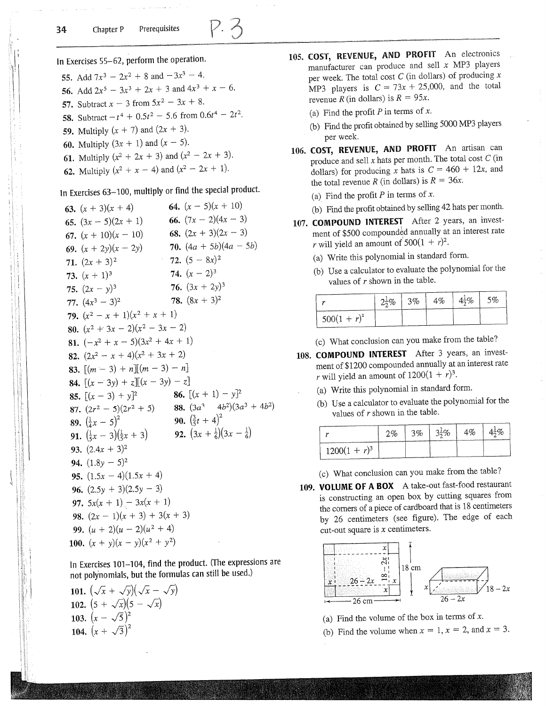$$
\cdot \not
$$

In Exercises 55-62, perform the operation.

- 55. Add  $7x^3 2x^2 + 8$  and  $-3x^3 4$ .
- 56. Add  $2x^5 3x^3 + 2x + 3$  and  $4x^3 + x 6$ .
- 57. Subtract  $x 3$  from  $5x^2 3x + 8$ .
- 58. Subtract  $-t^4 + 0.5t^2 5.6$  from  $0.6t^4 2t^2$ .
- 59. Multiply  $(x + 7)$  and  $(2x + 3)$ .
- 60. Multiply  $(3x + 1)$  and  $(x 5)$ .
- 61. Multiply  $(x^2 + 2x + 3)$  and  $(x^2 2x + 3)$ .
- 62. Multiply  $(x^2 + x 4)$  and  $(x^2 2x + 1)$ .

# In Exercises 63-100, multiply or find the special product.

64.  $(x - 5)(x + 10)$ 63.  $(x + 3)(x + 4)$ 66.  $(7x - 2)(4x - 3)$ 65.  $(3x - 5)(2x + 1)$ 68.  $(2x + 3)(2x - 3)$ 67.  $(x + 10)(x - 10)$ 70.  $(4a + 5b)(4a - 5b)$ 69.  $(x + 2y)(x - 2y)$ 72.  $(5 - 8x)^2$ 71.  $(2x + 3)^2$ 74.  $(x - 2)^3$ 73.  $(x + 1)^3$ 76.  $(3x + 2y)^3$ 75.  $(2x - y)^3$ 78.  $(8x + 3)^2$ 77.  $(4x^3 - 3)^2$ 79.  $(x^2 - x + 1)(x^2 + x + 1)$ 80.  $(x^2 + 3x - 2)(x^2 - 3x - 2)$ 81.  $(-x^2 + x - 5)(3x^2 + 4x + 1)$ 82.  $(2x^2 - x + 4)(x^2 + 3x + 2)$ 83.  $\lceil (m-3) + n \rceil \lceil (m-3) - n \rceil$ **84.**  $[(x-3y) + z][(x-3y) - z]$ **86.**  $[(x + 1) - y]^2$ 85.  $[(x-3) + y]^2$ 87.  $(2r^2 - 5)(2r^2 + 5)$  88.  $(3a^3 - 4b^2)(3a^3 + 4b^2)$ **90.**  $(\frac{3}{5}t+4)^2$ **89.**  $(\frac{1}{4}x - 5)^2$ **89.**  $\left(\frac{1}{4}x - 5\right)^2$ <br>**91.**  $\left(\frac{1}{5}x - 3\right)\left(\frac{1}{5}x + 3\right)$ **92.**  $(3x + \frac{1}{6})(3x - \frac{1}{6})$ 93.  $(2.4x + 3)^2$ 94.  $(1.8y - 5)^2$ 95.  $(1.5x - 4)(1.5x + 4)$ 96.  $(2.5y + 3)(2.5y - 3)$ 97.  $5x(x + 1) - 3x(x + 1)$ 98.  $(2x - 1)(x + 3) + 3(x + 3)$ 99.  $(u + 2)(u - 2)(u^2 + 4)$ 100.  $(x + y)(x - y)(x^2 + y^2)$ 

In Exercises 101-104, find the product. (The expressions are not polynomials, but the formulas can still be used.)

101.  $(\sqrt{x} + \sqrt{y})(\sqrt{x} - \sqrt{y})$ 102.  $(5 + \sqrt{x})(5 - \sqrt{x})$ 103.  $(x - \sqrt{5})^2$ 104.  $(x + \sqrt{3})^2$ 

- 105. COST, REVENUE, AND PROFIT An electronics manufacturer can produce and sell  $x$  MP3 players per week. The total cost  $C$  (in dollars) of producing  $x$ MP3 players is  $C = 73x + 25{,}000$ , and the total revenue R (in dollars) is  $R = 95x$ .
	- (a) Find the profit  $P$  in terms of  $x$ .
	- (b) Find the profit obtained by selling 5000 MP3 players per week.
- 106. COST, REVENUE, AND PROFIT An artisan can produce and sell  $x$  hats per month. The total cost  $C$  (in dollars) for producing x hats is  $C = 460 + 12x$ , and the total revenue R (in dollars) is  $R = 36x$ .
	- (a) Find the profit  $P$  in terms of  $x$ .
	- (b) Find the profit obtained by selling 42 hats per month.
- 107. COMPOUND INTEREST After 2 years, an investment of \$500 compounded annually at an interest rate r will yield an amount of  $500(1 + r)^2$ .
	- (a) Write this polynomial in standard form.
	- (b) Use a calculator to evaluate the polynomial for the values of  $r$  shown in the table.

|                |  | $2\frac{1}{2}\%$ 3% 4% 4 <sup>1</sup> / <sub>2</sub> % 5% |  |
|----------------|--|-----------------------------------------------------------|--|
| $500(1 + r)^2$ |  |                                                           |  |

(c) What conclusion can you make from the table?

- 108. COMPOUND INTEREST After 3 years, an investment of \$1200 compounded annually at an interest rate r will yield an amount of  $1200(1 + r)^3$ .
	- (a) Write this polynomial in standard form.
	- (b) Use a calculator to evaluate the polynomial for the values of  $r$  shown in the table.

|                 |  |  | $2\%$   3%   3 <sup>1</sup> / <sub>2</sub> %   4%   4 <sup>1</sup> / <sub>2</sub> % |
|-----------------|--|--|-------------------------------------------------------------------------------------|
| $1200(1 + r)^3$ |  |  |                                                                                     |

(c) What conclusion can you make from the table?

109. VOLUME OF A BOX A take-out fast-food restaurant is constructing an open box by cutting squares from the corners of a piece of cardboard that is 18 centimeters by 26 centimeters (see figure). The edge of each cut-out square is  $x$  centimeters.



- (a) Find the volume of the box in terms of  $x$ .
- (b) Find the volume when  $x = 1$ ,  $x = 2$ , and  $x = 3$ .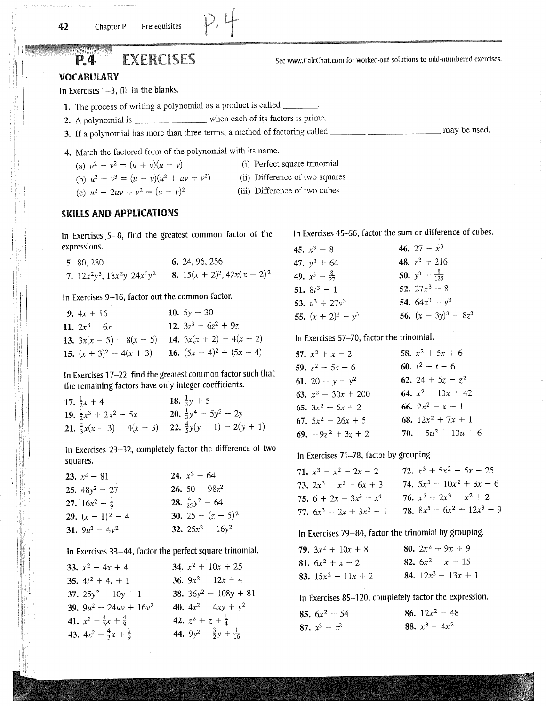# **EXERCISES**

### **VOCABULARY**

P.4

In Exercises 1-3, fill in the blanks.

- 1. The process of writing a polynomial as a product is called \_\_\_\_\_\_\_\_.
- 2. A polynomial is \_\_\_\_\_\_\_\_\_\_\_\_\_\_\_\_\_\_\_\_\_\_\_\_ when each of its factors is prime.
- 

4. Match the factored form of the polynomial with its name.

(i) Perfect square trinomial (a)  $u^2 - v^2 = (u + v)(u - v)$ 

(b)  $u^3 - v^3 = (u - v)(u^2 + uv + v^2)$  (ii) Difference of two squares

(c)  $u^2 - 2uv + v^2 = (u - v)^2$ (iii) Difference of two cubes

### **SKILLS AND APPLICATIONS**

In Exercises 5-8, find the greatest common factor of the expressions.

| 5. 80, 280                            | 6. 24, 96, 256                    |
|---------------------------------------|-----------------------------------|
| 7. $12x^2y^3$ , $18x^2y$ , $24x^3y^2$ | 8. $15(x + 2)^3$ , $42x(x + 2)^2$ |

In Exercises 9-16, factor out the common factor.

| 9. $4x + 16$               | 10. $5y - 30$               |
|----------------------------|-----------------------------|
| 11. $2x^3 - 6x$            | 12. $3z^3 - 6z^2 + 9z$      |
| 13. $3x(x-5) + 8(x - 5)$   | 14. $3x(x + 2) - 4(x + 2)$  |
| 15. $(x + 3)^2 - 4(x + 3)$ | 16. $(5x - 4)^2 + (5x - 4)$ |

In Exercises 17-22, find the greatest common factor such that the remaining factors have only integer coefficients.

| 17. $\frac{1}{2}x + 4$           | 18. $\frac{1}{3}y + 5$                                            |
|----------------------------------|-------------------------------------------------------------------|
| 19. $\frac{1}{2}x^3 + 2x^2 - 5x$ | 20. $\frac{1}{3}y^4 - 5y^2 + 2y$                                  |
|                                  | 21. $\frac{2}{3}x(x-3) - 4(x-3)$ 22. $\frac{4}{5}y(y+1) - 2(y+1)$ |

In Exercises 23-32, completely factor the difference of two squares.

| 23. $x^2 - 81$            | 24. $x^2$ – 64             |
|---------------------------|----------------------------|
| 25. $48y^2 - 27$          | 26. $50 - 98z^2$           |
| 27. $16x^2 - \frac{1}{9}$ | 28. $\frac{4}{25}y^2 - 64$ |
| 29. $(x-1)^2-4$           | 30. 25 – $(z + 5)^2$       |
| 31. $9u^2 - 4v^2$         | 32. $25x^2 - 16y^2$        |

In Exercises 33-44, factor the perfect square trinomial.

| 33. $x^2 - 4x + 4$                      | 34. $x^2 + 10x + 25$                                |
|-----------------------------------------|-----------------------------------------------------|
| 35. $4t^2 + 4t + 1$                     | 36. $9x^2 - 12x + 4$                                |
| 37. $25y^2 - 10y + 1$                   | 38. $36y^2 - 108y + 81$                             |
| 39. $9u^2 + 24uv + 16v^2$               | 40. $4x^2 - 4xy + y^2$                              |
| 41. $x^2 - \frac{4}{3}x + \frac{4}{9}$  | 42. $z^2 + z + \frac{1}{4}$                         |
| 43. $4x^2 - \frac{4}{3}x + \frac{1}{9}$ | 44. 9y <sup>2</sup> – $\frac{3}{2}y + \frac{1}{16}$ |

In Exercises 45-56, factor the sum or difference of cubes.

See www.CalcChat.com for worked-out solutions to odd-numbered exercises.

| 45. $x^3 - 8$            | 46. 27 – $\dot{x}^3$      |
|--------------------------|---------------------------|
| 47. $y^3$ + 64           | 48. $z^3$ + 216           |
| 49. $x^3 - \frac{8}{27}$ | 50. $y^3 + \frac{8}{125}$ |
| 51. $8t^3 - 1$           | 52. $27x^3 + 8$           |
| 53. $u^3 + 27v^3$        | 54. $64x^3 - y^3$         |
| 55. $(x + 2)^3 - y^3$    | 56. $(x - 3y)^3 - 8z^3$   |

In Exercises 57-70, factor the trinomial.

| 57. $x^2 + x - 2$     | 58. $x^2 + 5x + 6$    |
|-----------------------|-----------------------|
| 59. $s^2$ – 5s + 6    | 60. $t^2 - t - 6$     |
| 61. 20 - $y - y^2$    | 62. 24 + $5z - z^2$   |
| 63. $x^2 - 30x + 200$ | 64. $x^2 - 13x + 42$  |
| 65. $3x^2 - 5x + 2$   | 66. $2x^2 - x - 1$    |
| 67. $5x^2 + 26x + 5$  | 68. $12x^2 + 7x + 1$  |
| 69. $-9z^2 + 3z + 2$  | 70. $-5u^2 - 13u + 6$ |

In Exercises 71-78, factor by grouping.

| 71. $x^3 - x^2 + 2x - 2$   | 72. $x^3 + 5x^2 - 5x - 25$    |
|----------------------------|-------------------------------|
| 73. $2x^3 - x^2 - 6x + 3$  | 74. $5x^3 - 10x^2 + 3x - 6$   |
| 75. $6 + 2x - 3x^3 - x^4$  | 76. $x^5 + 2x^3 + x^2 + 2$    |
| 77. $6x^3 - 2x + 3x^2 - 1$ | 78. $8x^5 - 6x^2 + 12x^3 - 9$ |

In Exercises 79-84, factor the trinomial by grouping.

| 79. $3x^2 + 10x + 8$  | 80. $2x^2 + 9x + 9$   |
|-----------------------|-----------------------|
| 81. $6x^2 + x - 2$    | 82. $6x^2 - x - 15$   |
| 83. $15x^2 - 11x + 2$ | 84. $12x^2 - 13x + 1$ |

In Exercises 85-120, completely factor the expression.

| <b>85.</b> $6x^2 - 54$ | 86. $12x^2 - 48$ |
|------------------------|------------------|
| 87. $x^3 - x^2$        | 88. $x^3 - 4x^2$ |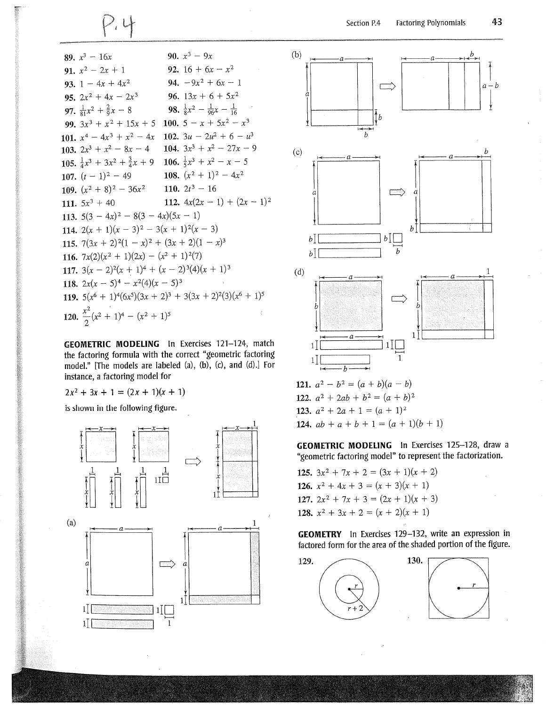89. 
$$
x^3 - 16x
$$
  
\n90.  $x^3 - 9x$   
\n91.  $x^2 - 2x + 1$   
\n92.  $16 + 6x - x^2$   
\n93.  $1 - 4x + 4x^2$   
\n94.  $-9x^2 + 6x - 1$   
\n95.  $2x^2 + 4x - 2x^3$   
\n96.  $13x + 6 + 5x^2$   
\n97.  $\frac{1}{81}x^2 + \frac{2}{9}x - 8$   
\n98.  $\frac{1}{8}x^2 - \frac{1}{96}x - \frac{1}{16}$   
\n99.  $3x^3 + x^2 + 15x + 5$   
\n100.  $5 - x + 5x^2 - x^3$   
\n101.  $x^4 - 4x^3 + x^2 - 4x$   
\n102.  $3u - 2u^2 + 6 - u^3$   
\n103.  $2x^3 + x^2 - 8x - 4$   
\n104.  $3x^3 + x^2 - 27x - 9$   
\n105.  $\frac{1}{4}x^3 + 3x^2 + \frac{3}{4}x + 9$   
\n106.  $\frac{1}{5}x^3 + x^2 - x - 5$   
\n107.  $(t - 1)^2 - 49$   
\n108.  $(x^2 + 1)^2 - 4x^2$   
\n109.  $(x^2 + 8)^2 - 36x^2$   
\n110.  $2t^3 - 16$   
\n111.  $5x^3 + 40$   
\n112.  $4x(2x - 1) + (2x - 1)^2$   
\n113.  $5(3 - 4x)^2 - 8(3 - 4x)(5x - 1)$   
\n114.  $2(x + 1)(x - 3)^2 - 3(x + 1)^2(x - 3)$   
\n115.  $7(3x + 2)^2(1 - x)^2 + (3x + 2)(1 - x)^3$   
\n116.  $7x($ 

GEOMETRIC MODELING In Exercises 121-124, match the factoring formula with the correct "geometric factoring model." [The models are labeled (a), (b), (c), and (d).] For instance, a factoring model for

 $2x^2 + 3x + 1 = (2x + 1)(x + 1)$ 

is shown in the following figure.





124.  $ab + a + b + 1 = (a + 1)(b + 1)$ 

GEOMETRIC MODELING In Exercises 125-128, draw a "geometric factoring model" to represent the factorization.

125.  $3x^2 + 7x + 2 = (3x + 1)(x + 2)$ 126.  $x^2 + 4x + 3 = (x + 3)(x + 1)$ 127.  $2x^2 + 7x + 3 = (2x + 1)(x + 3)$ 128.  $x^2 + 3x + 2 = (x + 2)(x + 1)$ 

**GEOMETRY** In Exercises 129-132, write an expression in factored form for the area of the shaded portion of the figure.